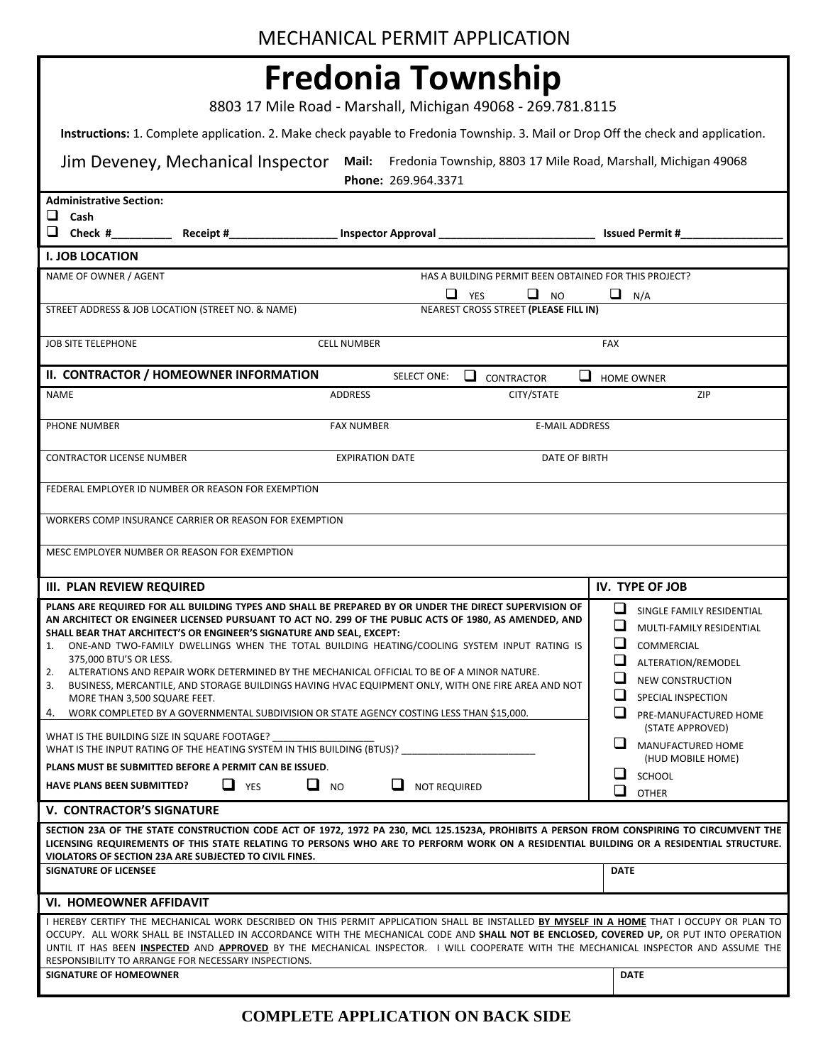8803 17 Mile Road - Marshall, Michigan 49068 - 269.781.8115

**Instructions:** 1. Complete application. 2. Make check payable to Fredonia Township. 3. Mail or Drop Off the check and application.

| Jim Deveney, Mechanical Inspector                                                                                                                                                                                                                                                                                                                                                                                                                                                                                                                                                                                                                                                                                                                                                                                                                                                                                                                          | Phone: 269.964.3371                   | Mail: Fredonia Township, 8803 17 Mile Road, Marshall, Michigan 49068 |                                                                                                                                                                                                                                                                                                             |  |  |  |  |  |  |  |  |
|------------------------------------------------------------------------------------------------------------------------------------------------------------------------------------------------------------------------------------------------------------------------------------------------------------------------------------------------------------------------------------------------------------------------------------------------------------------------------------------------------------------------------------------------------------------------------------------------------------------------------------------------------------------------------------------------------------------------------------------------------------------------------------------------------------------------------------------------------------------------------------------------------------------------------------------------------------|---------------------------------------|----------------------------------------------------------------------|-------------------------------------------------------------------------------------------------------------------------------------------------------------------------------------------------------------------------------------------------------------------------------------------------------------|--|--|--|--|--|--|--|--|
| <b>Administrative Section:</b><br>$\Box$ Cash<br>Receipt#_                                                                                                                                                                                                                                                                                                                                                                                                                                                                                                                                                                                                                                                                                                                                                                                                                                                                                                 |                                       |                                                                      | <b>Issued Permit #</b>                                                                                                                                                                                                                                                                                      |  |  |  |  |  |  |  |  |
|                                                                                                                                                                                                                                                                                                                                                                                                                                                                                                                                                                                                                                                                                                                                                                                                                                                                                                                                                            |                                       |                                                                      |                                                                                                                                                                                                                                                                                                             |  |  |  |  |  |  |  |  |
| <b>I. JOB LOCATION</b>                                                                                                                                                                                                                                                                                                                                                                                                                                                                                                                                                                                                                                                                                                                                                                                                                                                                                                                                     |                                       |                                                                      |                                                                                                                                                                                                                                                                                                             |  |  |  |  |  |  |  |  |
| NAME OF OWNER / AGENT                                                                                                                                                                                                                                                                                                                                                                                                                                                                                                                                                                                                                                                                                                                                                                                                                                                                                                                                      |                                       | HAS A BUILDING PERMIT BEEN OBTAINED FOR THIS PROJECT?                |                                                                                                                                                                                                                                                                                                             |  |  |  |  |  |  |  |  |
| STREET ADDRESS & JOB LOCATION (STREET NO. & NAME)                                                                                                                                                                                                                                                                                                                                                                                                                                                                                                                                                                                                                                                                                                                                                                                                                                                                                                          | u                                     | Q.<br>YES<br><b>NO</b>                                               | u<br>N/A                                                                                                                                                                                                                                                                                                    |  |  |  |  |  |  |  |  |
|                                                                                                                                                                                                                                                                                                                                                                                                                                                                                                                                                                                                                                                                                                                                                                                                                                                                                                                                                            | NEAREST CROSS STREET (PLEASE FILL IN) |                                                                      |                                                                                                                                                                                                                                                                                                             |  |  |  |  |  |  |  |  |
| <b>JOB SITE TELEPHONE</b>                                                                                                                                                                                                                                                                                                                                                                                                                                                                                                                                                                                                                                                                                                                                                                                                                                                                                                                                  | <b>CELL NUMBER</b>                    |                                                                      | FAX                                                                                                                                                                                                                                                                                                         |  |  |  |  |  |  |  |  |
| II. CONTRACTOR / HOMEOWNER INFORMATION                                                                                                                                                                                                                                                                                                                                                                                                                                                                                                                                                                                                                                                                                                                                                                                                                                                                                                                     | <b>SELECT ONE:</b>                    | ப<br>⊔<br>CONTRACTOR                                                 | <b>HOME OWNER</b>                                                                                                                                                                                                                                                                                           |  |  |  |  |  |  |  |  |
| <b>NAME</b>                                                                                                                                                                                                                                                                                                                                                                                                                                                                                                                                                                                                                                                                                                                                                                                                                                                                                                                                                | <b>ADDRESS</b>                        | CITY/STATE                                                           | <b>ZIP</b>                                                                                                                                                                                                                                                                                                  |  |  |  |  |  |  |  |  |
| PHONE NUMBER                                                                                                                                                                                                                                                                                                                                                                                                                                                                                                                                                                                                                                                                                                                                                                                                                                                                                                                                               | <b>FAX NUMBER</b>                     | <b>E-MAIL ADDRESS</b>                                                |                                                                                                                                                                                                                                                                                                             |  |  |  |  |  |  |  |  |
| <b>CONTRACTOR LICENSE NUMBER</b>                                                                                                                                                                                                                                                                                                                                                                                                                                                                                                                                                                                                                                                                                                                                                                                                                                                                                                                           | <b>EXPIRATION DATE</b>                | DATE OF BIRTH                                                        |                                                                                                                                                                                                                                                                                                             |  |  |  |  |  |  |  |  |
| FEDERAL EMPLOYER ID NUMBER OR REASON FOR EXEMPTION                                                                                                                                                                                                                                                                                                                                                                                                                                                                                                                                                                                                                                                                                                                                                                                                                                                                                                         |                                       |                                                                      |                                                                                                                                                                                                                                                                                                             |  |  |  |  |  |  |  |  |
| WORKERS COMP INSURANCE CARRIER OR REASON FOR EXEMPTION                                                                                                                                                                                                                                                                                                                                                                                                                                                                                                                                                                                                                                                                                                                                                                                                                                                                                                     |                                       |                                                                      |                                                                                                                                                                                                                                                                                                             |  |  |  |  |  |  |  |  |
| MESC EMPLOYER NUMBER OR REASON FOR EXEMPTION                                                                                                                                                                                                                                                                                                                                                                                                                                                                                                                                                                                                                                                                                                                                                                                                                                                                                                               |                                       |                                                                      |                                                                                                                                                                                                                                                                                                             |  |  |  |  |  |  |  |  |
|                                                                                                                                                                                                                                                                                                                                                                                                                                                                                                                                                                                                                                                                                                                                                                                                                                                                                                                                                            |                                       |                                                                      |                                                                                                                                                                                                                                                                                                             |  |  |  |  |  |  |  |  |
| <b>III. PLAN REVIEW REQUIRED</b>                                                                                                                                                                                                                                                                                                                                                                                                                                                                                                                                                                                                                                                                                                                                                                                                                                                                                                                           |                                       |                                                                      | IV. TYPE OF JOB                                                                                                                                                                                                                                                                                             |  |  |  |  |  |  |  |  |
| PLANS ARE REQUIRED FOR ALL BUILDING TYPES AND SHALL BE PREPARED BY OR UNDER THE DIRECT SUPERVISION OF<br>AN ARCHITECT OR ENGINEER LICENSED PURSUANT TO ACT NO. 299 OF THE PUBLIC ACTS OF 1980, AS AMENDED, AND<br>SHALL BEAR THAT ARCHITECT'S OR ENGINEER'S SIGNATURE AND SEAL, EXCEPT:<br>ONE-AND TWO-FAMILY DWELLINGS WHEN THE TOTAL BUILDING HEATING/COOLING SYSTEM INPUT RATING IS<br>1.<br>375,000 BTU'S OR LESS.<br>ALTERATIONS AND REPAIR WORK DETERMINED BY THE MECHANICAL OFFICIAL TO BE OF A MINOR NATURE.<br>2.<br>BUSINESS, MERCANTILE, AND STORAGE BUILDINGS HAVING HVAC EQUIPMENT ONLY, WITH ONE FIRE AREA AND NOT<br>3.<br>MORE THAN 3,500 SQUARE FEET.<br>4. WORK COMPLETED BY A GOVERNMENTAL SUBDIVISION OR STATE AGENCY COSTING LESS THAN \$15,000.<br>WHAT IS THE BUILDING SIZE IN SQUARE FOOTAGE?<br>WHAT IS THE INPUT RATING OF THE HEATING SYSTEM IN THIS BUILDING (BTUS)?<br>PLANS MUST BE SUBMITTED BEFORE A PERMIT CAN BE ISSUED. |                                       |                                                                      | ❏<br>SINGLE FAMILY RESIDENTIAL<br>⊔<br>MULTI-FAMILY RESIDENTIAL<br>❏<br>COMMERCIAL<br>$\Box$<br>ALTERATION/REMODEL<br>⊔<br><b>NEW CONSTRUCTION</b><br>$\Box$<br><b>SPECIAL INSPECTION</b><br>ப<br>PRE-MANUFACTURED HOME<br>(STATE APPROVED)<br>ப<br>MANUFACTURED HOME<br>(HUD MOBILE HOME)<br><b>SCHOOL</b> |  |  |  |  |  |  |  |  |
| $\Box$ YES<br><b>HAVE PLANS BEEN SUBMITTED?</b>                                                                                                                                                                                                                                                                                                                                                                                                                                                                                                                                                                                                                                                                                                                                                                                                                                                                                                            | $\Box$ NO<br>ப<br><b>NOT REQUIRED</b> |                                                                      | ப<br><b>OTHER</b>                                                                                                                                                                                                                                                                                           |  |  |  |  |  |  |  |  |
| <b>V. CONTRACTOR'S SIGNATURE</b><br>SECTION 23A OF THE STATE CONSTRUCTION CODE ACT OF 1972, 1972 PA 230, MCL 125.1523A, PROHIBITS A PERSON FROM CONSPIRING TO CIRCUMVENT THE<br>LICENSING REQUIREMENTS OF THIS STATE RELATING TO PERSONS WHO ARE TO PERFORM WORK ON A RESIDENTIAL BUILDING OR A RESIDENTIAL STRUCTURE.<br>VIOLATORS OF SECTION 23A ARE SUBJECTED TO CIVIL FINES.<br><b>SIGNATURE OF LICENSEE</b>                                                                                                                                                                                                                                                                                                                                                                                                                                                                                                                                           |                                       |                                                                      | <b>DATE</b>                                                                                                                                                                                                                                                                                                 |  |  |  |  |  |  |  |  |
|                                                                                                                                                                                                                                                                                                                                                                                                                                                                                                                                                                                                                                                                                                                                                                                                                                                                                                                                                            |                                       |                                                                      |                                                                                                                                                                                                                                                                                                             |  |  |  |  |  |  |  |  |
| <b>VI. HOMEOWNER AFFIDAVIT</b><br>I HEREBY CERTIFY THE MECHANICAL WORK DESCRIBED ON THIS PERMIT APPLICATION SHALL BE INSTALLED BY MYSELF IN A HOME THAT I OCCUPY OR PLAN TO<br>OCCUPY. ALL WORK SHALL BE INSTALLED IN ACCORDANCE WITH THE MECHANICAL CODE AND SHALL NOT BE ENCLOSED, COVERED UP, OR PUT INTO OPERATION<br>UNTIL IT HAS BEEN INSPECTED AND APPROVED BY THE MECHANICAL INSPECTOR. I WILL COOPERATE WITH THE MECHANICAL INSPECTOR AND ASSUME THE<br>RESPONSIBILITY TO ARRANGE FOR NECESSARY INSPECTIONS.<br><b>SIGNATURE OF HOMEOWNER</b>                                                                                                                                                                                                                                                                                                                                                                                                     |                                       |                                                                      | <b>DATE</b>                                                                                                                                                                                                                                                                                                 |  |  |  |  |  |  |  |  |